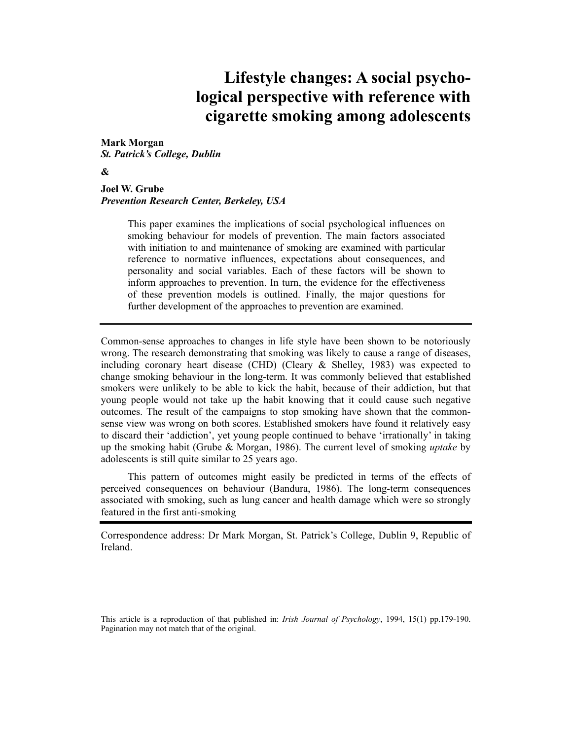# **Lifestyle changes: A social psychological perspective with reference with cigarette smoking among adolescents**

**Mark Morgan**  *St. Patrick's College, Dublin* 

**&** 

# **Joel W. Grube**  *Prevention Research Center, Berkeley, USA*

This paper examines the implications of social psychological influences on smoking behaviour for models of prevention. The main factors associated with initiation to and maintenance of smoking are examined with particular reference to normative influences, expectations about consequences, and personality and social variables. Each of these factors will be shown to inform approaches to prevention. In turn, the evidence for the effectiveness of these prevention models is outlined. Finally, the major questions for further development of the approaches to prevention are examined.

Common-sense approaches to changes in life style have been shown to be notoriously wrong. The research demonstrating that smoking was likely to cause a range of diseases, including coronary heart disease (CHD) (Cleary  $\&$  Shelley, 1983) was expected to change smoking behaviour in the long-term. It was commonly believed that established smokers were unlikely to be able to kick the habit, because of their addiction, but that young people would not take up the habit knowing that it could cause such negative outcomes. The result of the campaigns to stop smoking have shown that the commonsense view was wrong on both scores. Established smokers have found it relatively easy to discard their 'addiction', yet young people continued to behave 'irrationally' in taking up the smoking habit (Grube & Morgan, 1986). The current level of smoking *uptake* by adolescents is still quite similar to 25 years ago.

This pattern of outcomes might easily be predicted in terms of the effects of perceived consequences on behaviour (Bandura, 1986). The long-term consequences associated with smoking, such as lung cancer and health damage which were so strongly featured in the first anti-smoking

Correspondence address: Dr Mark Morgan, St. Patrick's College, Dublin 9, Republic of Ireland.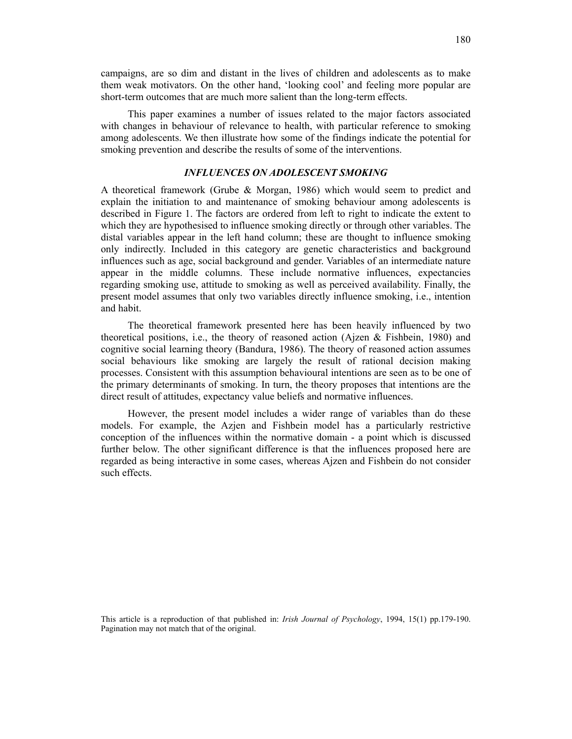campaigns, are so dim and distant in the lives of children and adolescents as to make them weak motivators. On the other hand, 'looking cool' and feeling more popular are short-term outcomes that are much more salient than the long-term effects.

This paper examines a number of issues related to the major factors associated with changes in behaviour of relevance to health, with particular reference to smoking among adolescents. We then illustrate how some of the findings indicate the potential for smoking prevention and describe the results of some of the interventions.

### *INFLUENCES ON ADOLESCENT SMOKING*

A theoretical framework (Grube & Morgan, 1986) which would seem to predict and explain the initiation to and maintenance of smoking behaviour among adolescents is described in Figure 1. The factors are ordered from left to right to indicate the extent to which they are hypothesised to influence smoking directly or through other variables. The distal variables appear in the left hand column; these are thought to influence smoking only indirectly. Included in this category are genetic characteristics and background influences such as age, social background and gender. Variables of an intermediate nature appear in the middle columns. These include normative influences, expectancies regarding smoking use, attitude to smoking as well as perceived availability. Finally, the present model assumes that only two variables directly influence smoking, i.e., intention and habit.

The theoretical framework presented here has been heavily influenced by two theoretical positions, i.e., the theory of reasoned action (Ajzen  $\&$  Fishbein, 1980) and cognitive social learning theory (Bandura, 1986). The theory of reasoned action assumes social behaviours like smoking are largely the result of rational decision making processes. Consistent with this assumption behavioural intentions are seen as to be one of the primary determinants of smoking. In turn, the theory proposes that intentions are the direct result of attitudes, expectancy value beliefs and normative influences.

However, the present model includes a wider range of variables than do these models. For example, the Azjen and Fishbein model has a particularly restrictive conception of the influences within the normative domain - a point which is discussed further below. The other significant difference is that the influences proposed here are regarded as being interactive in some cases, whereas Ajzen and Fishbein do not consider such effects.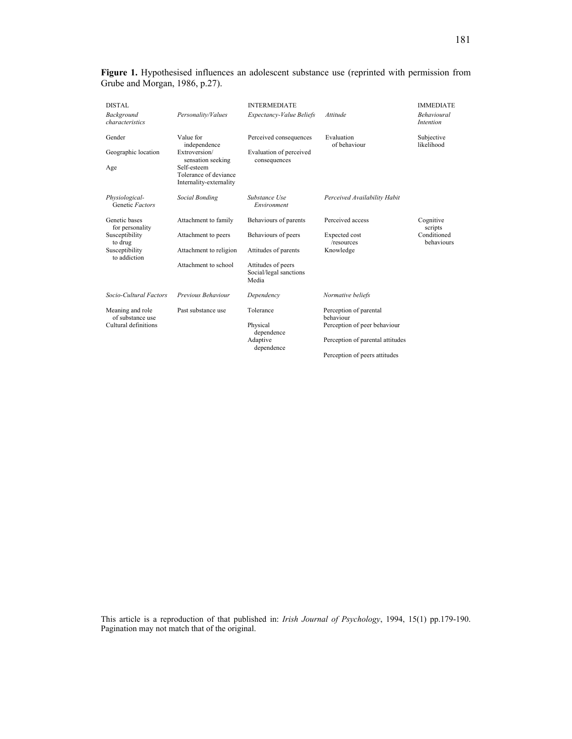| <b>DISTAL</b><br>Background<br>characteristics | Personality/Values                                              | <b>INTERMEDIATE</b><br>Expectancy-Value Beliefs       | Attitude                            | <b>IMMEDIATE</b><br><b>Behavioural</b><br>Intention |
|------------------------------------------------|-----------------------------------------------------------------|-------------------------------------------------------|-------------------------------------|-----------------------------------------------------|
| Gender                                         | Value for<br>independence                                       | Perceived consequences                                | Evaluation<br>of behaviour          | Subjective<br>likelihood                            |
| Geographic location                            | Extroversion/<br>sensation seeking                              | Evaluation of perceived<br>consequences               |                                     |                                                     |
| Age                                            | Self-esteem<br>Tolerance of deviance<br>Internality-externality |                                                       |                                     |                                                     |
| Physiological-<br>Genetic Factors              | <b>Social Bonding</b>                                           | Substance Use<br>Environment                          | Perceived Availability Habit        |                                                     |
| Genetic bases<br>for personality               | Attachment to family                                            | Behaviours of parents                                 | Perceived access                    | Cognitive<br>scripts                                |
| Susceptibility<br>to drug                      | Attachment to peers                                             | Behaviours of peers                                   | Expected cost<br>/resources         | Conditioned<br>behaviours                           |
| Susceptibility<br>to addiction                 | Attachment to religion                                          | Attitudes of parents                                  | Knowledge                           |                                                     |
|                                                | Attachment to school                                            | Attitudes of peers<br>Social/legal sanctions<br>Media |                                     |                                                     |
| Socio-Cultural Factors                         | Previous Behaviour                                              | Dependency                                            | Normative beliefs                   |                                                     |
| Meaning and role<br>of substance use           | Past substance use                                              | Tolerance                                             | Perception of parental<br>behaviour |                                                     |
| Cultural definitions                           |                                                                 | Physical<br>dependence                                | Perception of peer behaviour        |                                                     |
|                                                |                                                                 | Adaptive<br>dependence                                | Perception of parental attitudes    |                                                     |
|                                                |                                                                 |                                                       | Perception of peers attitudes       |                                                     |

**Figure 1.** Hypothesised influences an adolescent substance use (reprinted with permission from Grube and Morgan, 1986, p.27).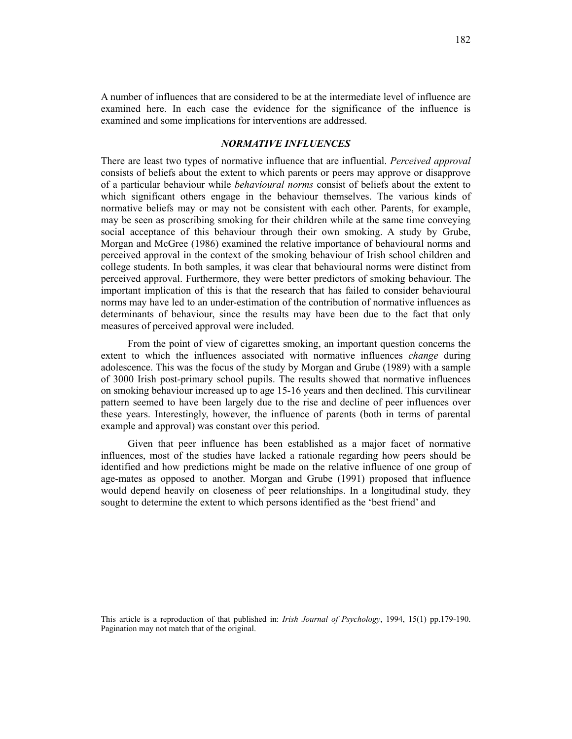A number of influences that are considered to be at the intermediate level of influence are examined here. In each case the evidence for the significance of the influence is examined and some implications for interventions are addressed.

## *NORMATIVE INFLUENCES*

There are least two types of normative influence that are influential. *Perceived approval* consists of beliefs about the extent to which parents or peers may approve or disapprove of a particular behaviour while *behavioural norms* consist of beliefs about the extent to which significant others engage in the behaviour themselves. The various kinds of normative beliefs may or may not be consistent with each other. Parents, for example, may be seen as proscribing smoking for their children while at the same time conveying social acceptance of this behaviour through their own smoking. A study by Grube, Morgan and McGree (1986) examined the relative importance of behavioural norms and perceived approval in the context of the smoking behaviour of Irish school children and college students. In both samples, it was clear that behavioural norms were distinct from perceived approval. Furthermore, they were better predictors of smoking behaviour. The important implication of this is that the research that has failed to consider behavioural norms may have led to an under-estimation of the contribution of normative influences as determinants of behaviour, since the results may have been due to the fact that only measures of perceived approval were included.

From the point of view of cigarettes smoking, an important question concerns the extent to which the influences associated with normative influences *change* during adolescence. This was the focus of the study by Morgan and Grube (1989) with a sample of 3000 Irish post-primary school pupils. The results showed that normative influences on smoking behaviour increased up to age 15-16 years and then declined. This curvilinear pattern seemed to have been largely due to the rise and decline of peer influences over these years. Interestingly, however, the influence of parents (both in terms of parental example and approval) was constant over this period.

Given that peer influence has been established as a major facet of normative influences, most of the studies have lacked a rationale regarding how peers should be identified and how predictions might be made on the relative influence of one group of age-mates as opposed to another. Morgan and Grube (1991) proposed that influence would depend heavily on closeness of peer relationships. In a longitudinal study, they sought to determine the extent to which persons identified as the 'best friend' and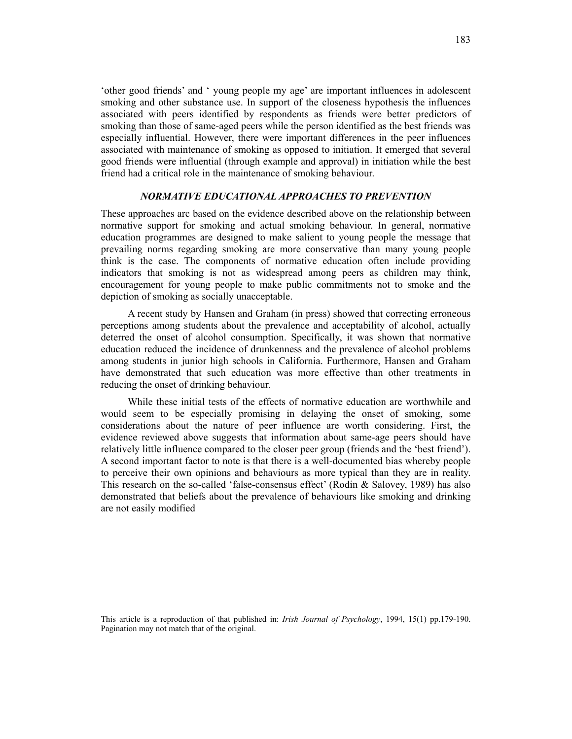'other good friends' and ' young people my age' are important influences in adolescent smoking and other substance use. In support of the closeness hypothesis the influences associated with peers identified by respondents as friends were better predictors of smoking than those of same-aged peers while the person identified as the best friends was especially influential. However, there were important differences in the peer influences associated with maintenance of smoking as opposed to initiation. It emerged that several good friends were influential (through example and approval) in initiation while the best friend had a critical role in the maintenance of smoking behaviour.

## *NORMATIVE EDUCATIONAL APPROACHES TO PREVENTION*

These approaches arc based on the evidence described above on the relationship between normative support for smoking and actual smoking behaviour. In general, normative education programmes are designed to make salient to young people the message that prevailing norms regarding smoking are more conservative than many young people think is the case. The components of normative education often include providing indicators that smoking is not as widespread among peers as children may think, encouragement for young people to make public commitments not to smoke and the depiction of smoking as socially unacceptable.

A recent study by Hansen and Graham (in press) showed that correcting erroneous perceptions among students about the prevalence and acceptability of alcohol, actually deterred the onset of alcohol consumption. Specifically, it was shown that normative education reduced the incidence of drunkenness and the prevalence of alcohol problems among students in junior high schools in California. Furthermore, Hansen and Graham have demonstrated that such education was more effective than other treatments in reducing the onset of drinking behaviour.

While these initial tests of the effects of normative education are worthwhile and would seem to be especially promising in delaying the onset of smoking, some considerations about the nature of peer influence are worth considering. First, the evidence reviewed above suggests that information about same-age peers should have relatively little influence compared to the closer peer group (friends and the 'best friend'). A second important factor to note is that there is a well-documented bias whereby people to perceive their own opinions and behaviours as more typical than they are in reality. This research on the so-called 'false-consensus effect' (Rodin & Salovey, 1989) has also demonstrated that beliefs about the prevalence of behaviours like smoking and drinking are not easily modified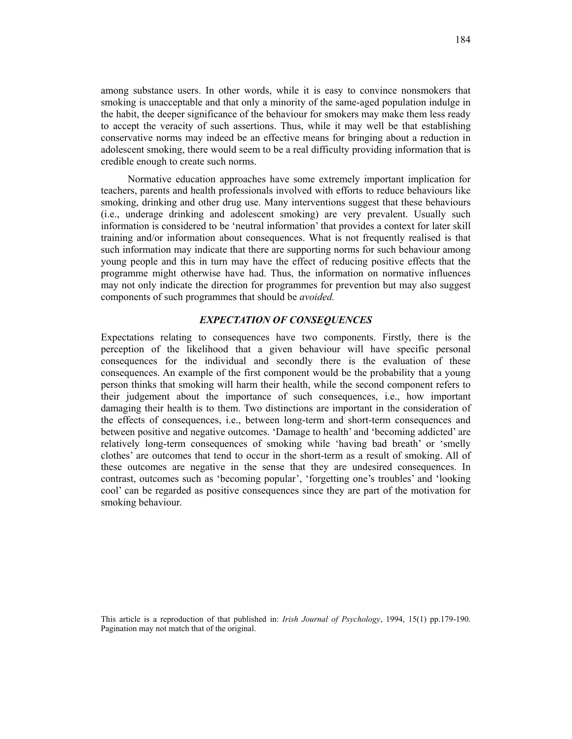among substance users. In other words, while it is easy to convince nonsmokers that smoking is unacceptable and that only a minority of the same-aged population indulge in the habit, the deeper significance of the behaviour for smokers may make them less ready to accept the veracity of such assertions. Thus, while it may well be that establishing conservative norms may indeed be an effective means for bringing about a reduction in adolescent smoking, there would seem to be a real difficulty providing information that is credible enough to create such norms.

Normative education approaches have some extremely important implication for teachers, parents and health professionals involved with efforts to reduce behaviours like smoking, drinking and other drug use. Many interventions suggest that these behaviours (i.e., underage drinking and adolescent smoking) are very prevalent. Usually such information is considered to be 'neutral information' that provides a context for later skill training and/or information about consequences. What is not frequently realised is that such information may indicate that there are supporting norms for such behaviour among young people and this in turn may have the effect of reducing positive effects that the programme might otherwise have had. Thus, the information on normative influences may not only indicate the direction for programmes for prevention but may also suggest components of such programmes that should be *avoided.* 

## *EXPECTATION OF CONSEQUENCES*

Expectations relating to consequences have two components. Firstly, there is the perception of the likelihood that a given behaviour will have specific personal consequences for the individual and secondly there is the evaluation of these consequences. An example of the first component would be the probability that a young person thinks that smoking will harm their health, while the second component refers to their judgement about the importance of such consequences, i.e., how important damaging their health is to them. Two distinctions are important in the consideration of the effects of consequences, i.e., between long-term and short-term consequences and between positive and negative outcomes. 'Damage to health' and 'becoming addicted' are relatively long-term consequences of smoking while 'having bad breath' or 'smelly clothes' are outcomes that tend to occur in the short-term as a result of smoking. All of these outcomes are negative in the sense that they are undesired consequences. In contrast, outcomes such as 'becoming popular', 'forgetting one's troubles' and 'looking cool' can be regarded as positive consequences since they are part of the motivation for smoking behaviour.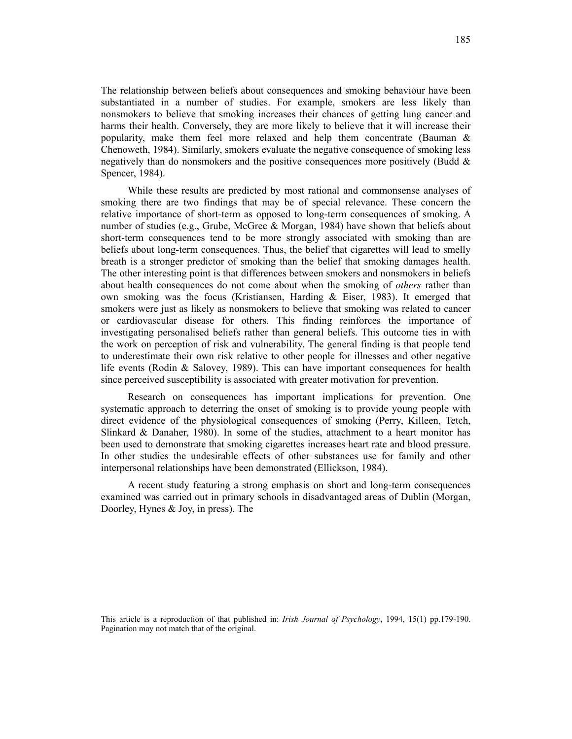The relationship between beliefs about consequences and smoking behaviour have been substantiated in a number of studies. For example, smokers are less likely than nonsmokers to believe that smoking increases their chances of getting lung cancer and harms their health. Conversely, they are more likely to believe that it will increase their popularity, make them feel more relaxed and help them concentrate (Bauman  $\&$ Chenoweth, 1984). Similarly, smokers evaluate the negative consequence of smoking less negatively than do nonsmokers and the positive consequences more positively (Budd  $\&$ Spencer, 1984).

While these results are predicted by most rational and commonsense analyses of smoking there are two findings that may be of special relevance. These concern the relative importance of short-term as opposed to long-term consequences of smoking. A number of studies (e.g., Grube, McGree & Morgan, 1984) have shown that beliefs about short-term consequences tend to be more strongly associated with smoking than are beliefs about long-term consequences. Thus, the belief that cigarettes will lead to smelly breath is a stronger predictor of smoking than the belief that smoking damages health. The other interesting point is that differences between smokers and nonsmokers in beliefs about health consequences do not come about when the smoking of *others* rather than own smoking was the focus (Kristiansen, Harding & Eiser, 1983). It emerged that smokers were just as likely as nonsmokers to believe that smoking was related to cancer or cardiovascular disease for others. This finding reinforces the importance of investigating personalised beliefs rather than general beliefs. This outcome ties in with the work on perception of risk and vulnerability. The general finding is that people tend to underestimate their own risk relative to other people for illnesses and other negative life events (Rodin & Salovey, 1989). This can have important consequences for health since perceived susceptibility is associated with greater motivation for prevention.

Research on consequences has important implications for prevention. One systematic approach to deterring the onset of smoking is to provide young people with direct evidence of the physiological consequences of smoking (Perry, Killeen, Tetch, Slinkard & Danaher, 1980). In some of the studies, attachment to a heart monitor has been used to demonstrate that smoking cigarettes increases heart rate and blood pressure. In other studies the undesirable effects of other substances use for family and other interpersonal relationships have been demonstrated (Ellickson, 1984).

A recent study featuring a strong emphasis on short and long-term consequences examined was carried out in primary schools in disadvantaged areas of Dublin (Morgan, Doorley, Hynes & Joy, in press). The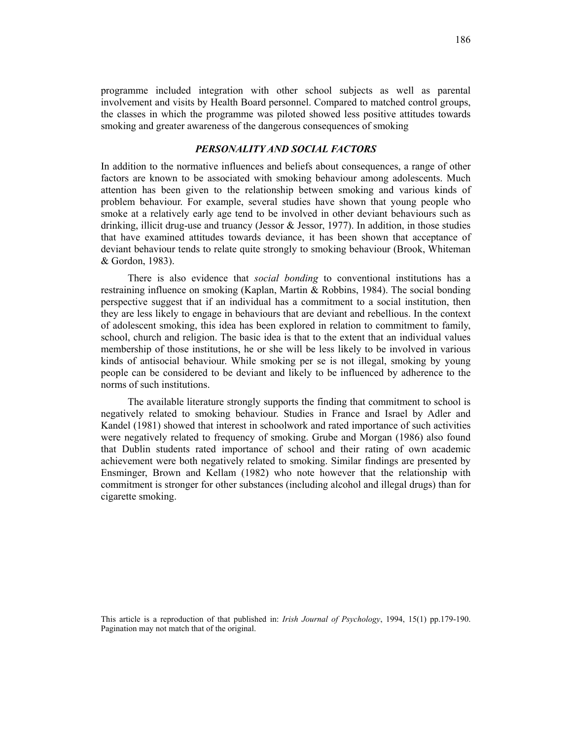programme included integration with other school subjects as well as parental involvement and visits by Health Board personnel. Compared to matched control groups, the classes in which the programme was piloted showed less positive attitudes towards smoking and greater awareness of the dangerous consequences of smoking

## *PERSONALITY AND SOCIAL FACTORS*

In addition to the normative influences and beliefs about consequences, a range of other factors are known to be associated with smoking behaviour among adolescents. Much attention has been given to the relationship between smoking and various kinds of problem behaviour. For example, several studies have shown that young people who smoke at a relatively early age tend to be involved in other deviant behaviours such as drinking, illicit drug-use and truancy (Jessor & Jessor, 1977). In addition, in those studies that have examined attitudes towards deviance, it has been shown that acceptance of deviant behaviour tends to relate quite strongly to smoking behaviour (Brook, Whiteman & Gordon, 1983).

There is also evidence that *social bonding* to conventional institutions has a restraining influence on smoking (Kaplan, Martin & Robbins, 1984). The social bonding perspective suggest that if an individual has a commitment to a social institution, then they are less likely to engage in behaviours that are deviant and rebellious. In the context of adolescent smoking, this idea has been explored in relation to commitment to family, school, church and religion. The basic idea is that to the extent that an individual values membership of those institutions, he or she will be less likely to be involved in various kinds of antisocial behaviour. While smoking per se is not illegal, smoking by young people can be considered to be deviant and likely to be influenced by adherence to the norms of such institutions.

The available literature strongly supports the finding that commitment to school is negatively related to smoking behaviour. Studies in France and Israel by Adler and Kandel (1981) showed that interest in schoolwork and rated importance of such activities were negatively related to frequency of smoking. Grube and Morgan (1986) also found that Dublin students rated importance of school and their rating of own academic achievement were both negatively related to smoking. Similar findings are presented by Ensminger, Brown and Kellam (1982) who note however that the relationship with commitment is stronger for other substances (including alcohol and illegal drugs) than for cigarette smoking.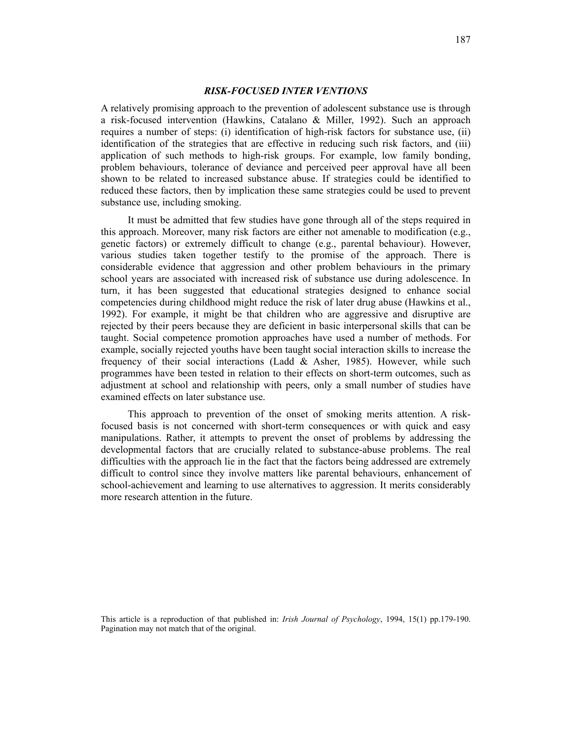#### *RISK-FOCUSED INTER VENTIONS*

A relatively promising approach to the prevention of adolescent substance use is through a risk-focused intervention (Hawkins, Catalano & Miller, 1992). Such an approach requires a number of steps: (i) identification of high-risk factors for substance use, (ii) identification of the strategies that are effective in reducing such risk factors, and (iii) application of such methods to high-risk groups. For example, low family bonding, problem behaviours, tolerance of deviance and perceived peer approval have all been shown to be related to increased substance abuse. If strategies could be identified to reduced these factors, then by implication these same strategies could be used to prevent substance use, including smoking.

It must be admitted that few studies have gone through all of the steps required in this approach. Moreover, many risk factors are either not amenable to modification (e.g., genetic factors) or extremely difficult to change (e.g., parental behaviour). However, various studies taken together testify to the promise of the approach. There is considerable evidence that aggression and other problem behaviours in the primary school years are associated with increased risk of substance use during adolescence. In turn, it has been suggested that educational strategies designed to enhance social competencies during childhood might reduce the risk of later drug abuse (Hawkins et al., 1992). For example, it might be that children who are aggressive and disruptive are rejected by their peers because they are deficient in basic interpersonal skills that can be taught. Social competence promotion approaches have used a number of methods. For example, socially rejected youths have been taught social interaction skills to increase the frequency of their social interactions (Ladd  $\&$  Asher, 1985). However, while such programmes have been tested in relation to their effects on short-term outcomes, such as adjustment at school and relationship with peers, only a small number of studies have examined effects on later substance use.

This approach to prevention of the onset of smoking merits attention. A riskfocused basis is not concerned with short-term consequences or with quick and easy manipulations. Rather, it attempts to prevent the onset of problems by addressing the developmental factors that are crucially related to substance-abuse problems. The real difficulties with the approach lie in the fact that the factors being addressed are extremely difficult to control since they involve matters like parental behaviours, enhancement of school-achievement and learning to use alternatives to aggression. It merits considerably more research attention in the future.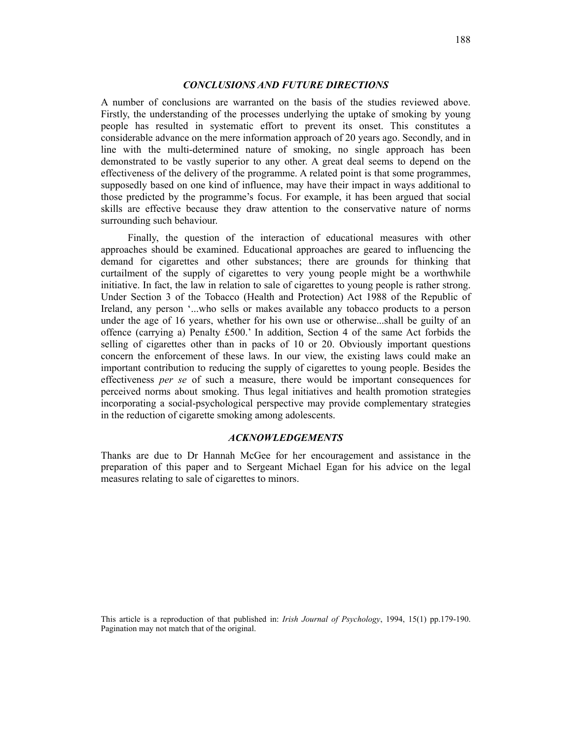#### *CONCLUSIONS AND FUTURE DIRECTIONS*

A number of conclusions are warranted on the basis of the studies reviewed above. Firstly, the understanding of the processes underlying the uptake of smoking by young people has resulted in systematic effort to prevent its onset. This constitutes a considerable advance on the mere information approach of 20 years ago. Secondly, and in line with the multi-determined nature of smoking, no single approach has been demonstrated to be vastly superior to any other. A great deal seems to depend on the effectiveness of the delivery of the programme. A related point is that some programmes, supposedly based on one kind of influence, may have their impact in ways additional to those predicted by the programme's focus. For example, it has been argued that social skills are effective because they draw attention to the conservative nature of norms surrounding such behaviour.

Finally, the question of the interaction of educational measures with other approaches should be examined. Educational approaches are geared to influencing the demand for cigarettes and other substances; there are grounds for thinking that curtailment of the supply of cigarettes to very young people might be a worthwhile initiative. In fact, the law in relation to sale of cigarettes to young people is rather strong. Under Section 3 of the Tobacco (Health and Protection) Act 1988 of the Republic of Ireland, any person '...who sells or makes available any tobacco products to a person under the age of 16 years, whether for his own use or otherwise...shall be guilty of an offence (carrying a) Penalty £500.' In addition, Section 4 of the same Act forbids the selling of cigarettes other than in packs of 10 or 20. Obviously important questions concern the enforcement of these laws. In our view, the existing laws could make an important contribution to reducing the supply of cigarettes to young people. Besides the effectiveness *per se* of such a measure, there would be important consequences for perceived norms about smoking. Thus legal initiatives and health promotion strategies incorporating a social-psychological perspective may provide complementary strategies in the reduction of cigarette smoking among adolescents.

#### *ACKNOWLEDGEMENTS*

Thanks are due to Dr Hannah McGee for her encouragement and assistance in the preparation of this paper and to Sergeant Michael Egan for his advice on the legal measures relating to sale of cigarettes to minors.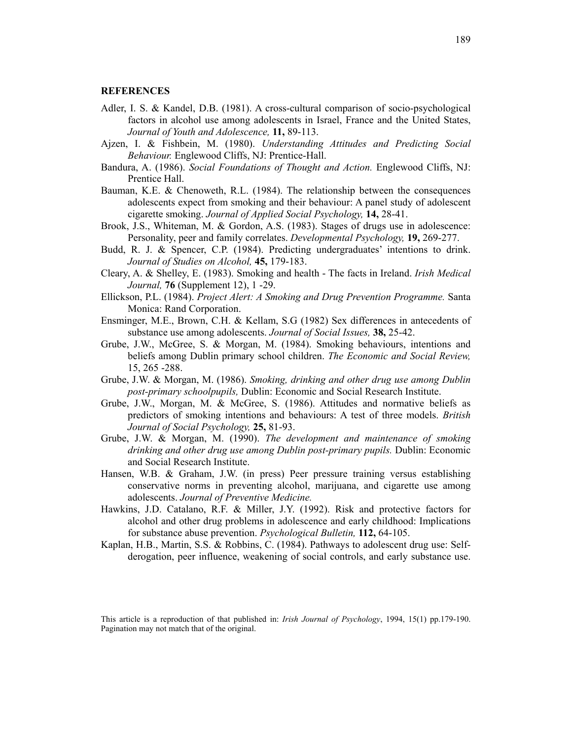#### **REFERENCES**

- Adler, I. S. & Kandel, D.B. (1981). A cross-cultural comparison of socio-psychological factors in alcohol use among adolescents in Israel, France and the United States, *Journal of Youth and Adolescence,* **11,** 89-113.
- Ajzen, I. & Fishbein, M. (1980). *Understanding Attitudes and Predicting Social Behaviour.* Englewood Cliffs, NJ: Prentice-Hall.
- Bandura, A. (1986). *Social Foundations of Thought and Action.* Englewood Cliffs, NJ: Prentice Hall.
- Bauman, K.E. & Chenoweth, R.L. (1984). The relationship between the consequences adolescents expect from smoking and their behaviour: A panel study of adolescent cigarette smoking. *Journal of Applied Social Psychology,* **14,** 28-41.
- Brook, J.S., Whiteman, M. & Gordon, A.S. (1983). Stages of drugs use in adolescence: Personality, peer and family correlates. *Developmental Psychology,* **19,** 269-277.
- Budd, R. J. & Spencer, C.P. (1984). Predicting undergraduates' intentions to drink. *Journal of Studies on Alcohol,* **45,** 179-183.
- Cleary, A. & Shelley, E. (1983). Smoking and health The facts in Ireland. *Irish Medical Journal,* **76** (Supplement 12), 1 -29.
- Ellickson, P.L. (1984). *Project Alert: A Smoking and Drug Prevention Programme.* Santa Monica: Rand Corporation.
- Ensminger, M.E., Brown, C.H. & Kellam, S.G (1982) Sex differences in antecedents of substance use among adolescents. *Journal of Social Issues,* **38,** 25-42.
- Grube, J.W., McGree, S. & Morgan, M. (1984). Smoking behaviours, intentions and beliefs among Dublin primary school children. *The Economic and Social Review,*  15, 265 -288.
- Grube, J.W. & Morgan, M. (1986). *Smoking, drinking and other drug use among Dublin post-primary schoolpupils,* Dublin: Economic and Social Research Institute.
- Grube, J.W., Morgan, M. & McGree, S. (1986). Attitudes and normative beliefs as predictors of smoking intentions and behaviours: A test of three models. *British Journal of Social Psychology,* **25,** 81-93.
- Grube, J.W. & Morgan, M. (1990). *The development and maintenance of smoking drinking and other drug use among Dublin post-primary pupils.* Dublin: Economic and Social Research Institute.
- Hansen, W.B. & Graham, J.W. (in press) Peer pressure training versus establishing conservative norms in preventing alcohol, marijuana, and cigarette use among adolescents. *Journal of Preventive Medicine.*
- Hawkins, J.D. Catalano, R.F. & Miller, J.Y. (1992). Risk and protective factors for alcohol and other drug problems in adolescence and early childhood: Implications for substance abuse prevention. *Psychological Bulletin,* **112,** 64-105.
- Kaplan, H.B., Martin, S.S. & Robbins, C. (1984). Pathways to adolescent drug use: Selfderogation, peer influence, weakening of social controls, and early substance use.